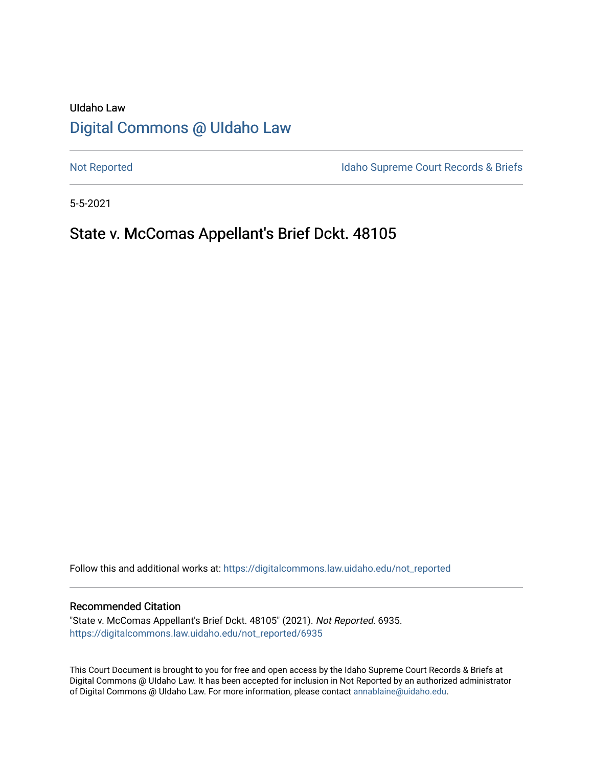# UIdaho Law [Digital Commons @ UIdaho Law](https://digitalcommons.law.uidaho.edu/)

[Not Reported](https://digitalcommons.law.uidaho.edu/not_reported) **Idaho Supreme Court Records & Briefs** 

5-5-2021

# State v. McComas Appellant's Brief Dckt. 48105

Follow this and additional works at: [https://digitalcommons.law.uidaho.edu/not\\_reported](https://digitalcommons.law.uidaho.edu/not_reported?utm_source=digitalcommons.law.uidaho.edu%2Fnot_reported%2F6935&utm_medium=PDF&utm_campaign=PDFCoverPages) 

#### Recommended Citation

"State v. McComas Appellant's Brief Dckt. 48105" (2021). Not Reported. 6935. [https://digitalcommons.law.uidaho.edu/not\\_reported/6935](https://digitalcommons.law.uidaho.edu/not_reported/6935?utm_source=digitalcommons.law.uidaho.edu%2Fnot_reported%2F6935&utm_medium=PDF&utm_campaign=PDFCoverPages)

This Court Document is brought to you for free and open access by the Idaho Supreme Court Records & Briefs at Digital Commons @ UIdaho Law. It has been accepted for inclusion in Not Reported by an authorized administrator of Digital Commons @ UIdaho Law. For more information, please contact [annablaine@uidaho.edu](mailto:annablaine@uidaho.edu).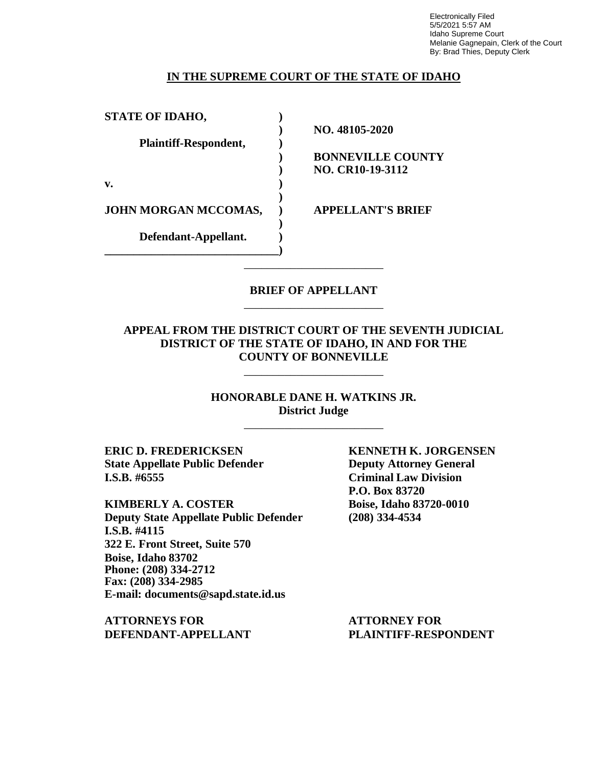Electronically Filed 5/5/2021 5:57 AM Idaho Supreme Court Melanie Gagnepain, Clerk of the Court By: Brad Thies, Deputy Clerk

### **IN THE SUPREME COURT OF THE STATE OF IDAHO**

| <b>STATE OF IDAHO,</b> |                          |
|------------------------|--------------------------|
|                        | NO. 48105-2020           |
| Plaintiff-Respondent,  |                          |
|                        | <b>BONNEVILLE COUNTY</b> |
|                        | <b>NO. CR10-19-3112</b>  |
| v.                     |                          |
| JOHN MORGAN MCCOMAS,   | <b>APPELLANT'S BRIEF</b> |
| Defendant-Appellant.   |                          |
|                        |                          |
|                        |                          |

### **BRIEF OF APPELLANT** \_\_\_\_\_\_\_\_\_\_\_\_\_\_\_\_\_\_\_\_\_\_\_\_

### **APPEAL FROM THE DISTRICT COURT OF THE SEVENTH JUDICIAL DISTRICT OF THE STATE OF IDAHO, IN AND FOR THE COUNTY OF BONNEVILLE**

\_\_\_\_\_\_\_\_\_\_\_\_\_\_\_\_\_\_\_\_\_\_\_\_

**HONORABLE DANE H. WATKINS JR. District Judge** \_\_\_\_\_\_\_\_\_\_\_\_\_\_\_\_\_\_\_\_\_\_\_\_

**ERIC D. FREDERICKSEN KENNETH K. JORGENSEN State Appellate Public Defender Deputy Attorney General I.S.B. #6555 Criminal Law Division**

**KIMBERLY A. COSTER Boise, Idaho 83720-0010 Deputy State Appellate Public Defender (208) 334-4534 I.S.B. #4115 322 E. Front Street, Suite 570 Boise, Idaho 83702 Phone: (208) 334-2712 Fax: (208) 334-2985 E-mail: documents@sapd.state.id.us**

**ATTORNEYS FOR ATTORNEY FOR DEFENDANT-APPELLANT PLAINTIFF-RESPONDENT**

**P.O. Box 83720**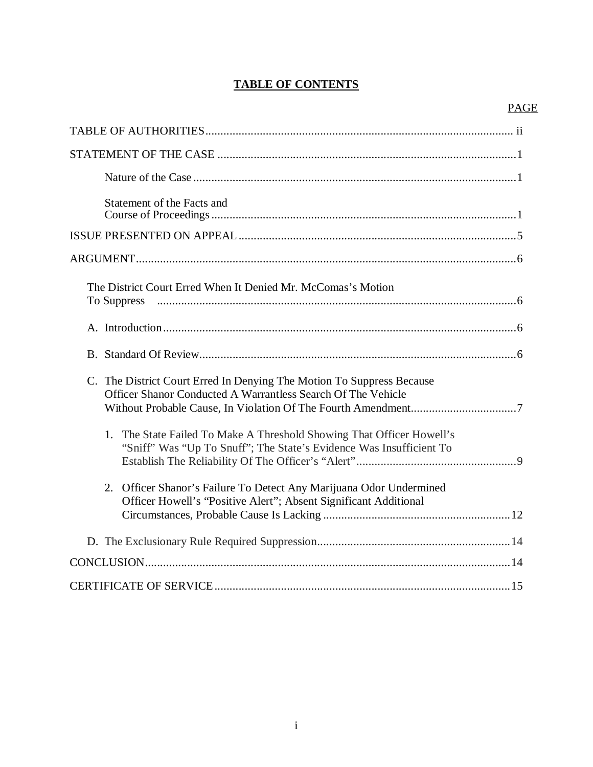# **TABLE OF CONTENTS**

## PAGE

| Statement of the Facts and                                                                                                                   |
|----------------------------------------------------------------------------------------------------------------------------------------------|
|                                                                                                                                              |
|                                                                                                                                              |
| The District Court Erred When It Denied Mr. McComas's Motion<br>To Suppress                                                                  |
|                                                                                                                                              |
|                                                                                                                                              |
| C. The District Court Erred In Denying The Motion To Suppress Because<br>Officer Shanor Conducted A Warrantless Search Of The Vehicle        |
| 1. The State Failed To Make A Threshold Showing That Officer Howell's<br>"Sniff" Was "Up To Snuff"; The State's Evidence Was Insufficient To |
| 2. Officer Shanor's Failure To Detect Any Marijuana Odor Undermined<br>Officer Howell's "Positive Alert"; Absent Significant Additional      |
|                                                                                                                                              |
|                                                                                                                                              |
|                                                                                                                                              |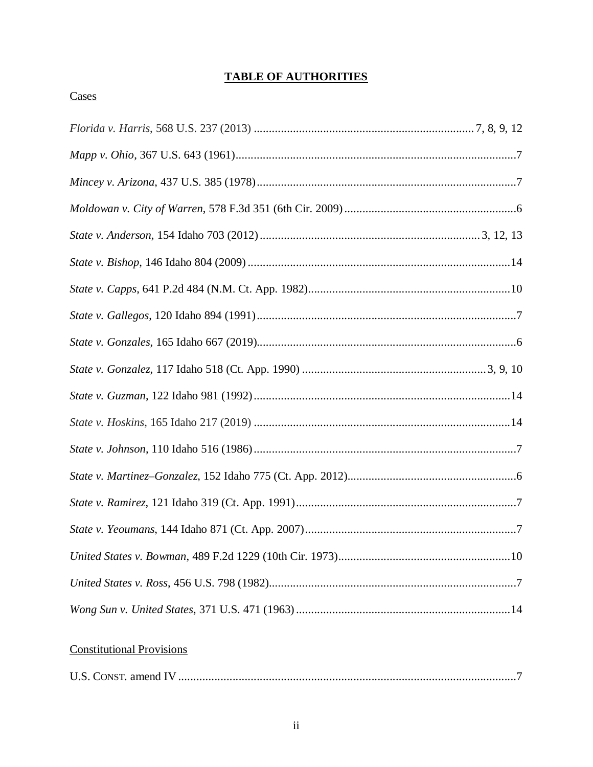# **TABLE OF AUTHORITIES**

## Cases

# **Constitutional Provisions**

|--|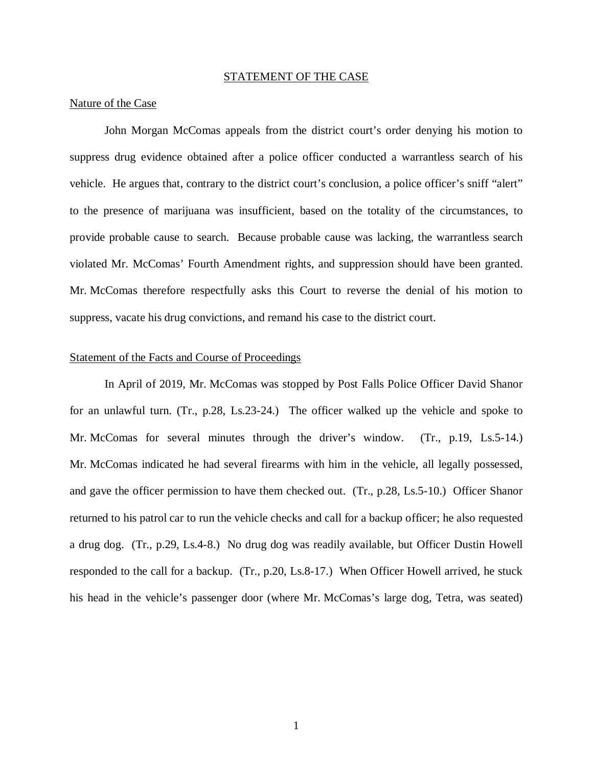#### STATEMENT OF THE CASE

#### Nature of the Case

John Morgan McComas appeals from the district court's order denying his motion to suppress drug evidence obtained after a police officer conducted a warrantless search of his vehicle. He argues that, contrary to the district court's conclusion, a police officer's sniff "alert" to the presence of marijuana was insufficient, based on the totality of the circumstances, to provide probable cause to search. Because probable cause was lacking, the warrantless search violated Mr. McComas' Fourth Amendment rights, and suppression should have been granted. Mr. McComas therefore respectfully asks this Court to reverse the denial of his motion to suppress, vacate his drug convictions, and remand his case to the district court.

### Statement of the Facts and Course of Proceedings

In April of 2019, Mr. McComas was stopped by Post Falls Police Officer David Shanor for an unlawful turn. (Tr., p.28, Ls.23-24.) The officer walked up the vehicle and spoke to Mr. McComas for several minutes through the driver's window. (Tr., p.19, Ls.5-14.) Mr. McComas indicated he had several firearms with him in the vehicle, all legally possessed, and gave the officer permission to have them checked out. (Tr., p.28, Ls.5-10.) Officer Shanor returned to his patrol car to run the vehicle checks and call for a backup officer; he also requested a drug dog. (Tr., p.29, Ls.4-8.) No drug dog was readily available, but Officer Dustin Howell responded to the call for a backup. (Tr., p.20, Ls.8-17.) When Officer Howell arrived, he stuck his head in the vehicle's passenger door (where Mr. McComas's large dog, Tetra, was seated)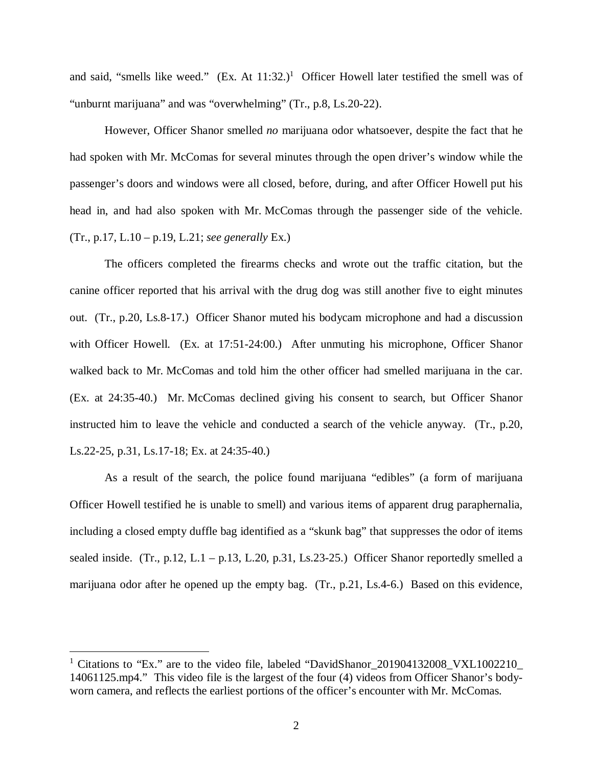and said, "smells like weed." (Ex. At  $11:32$  $11:32$ .)<sup>1</sup> Officer Howell later testified the smell was of "unburnt marijuana" and was "overwhelming" (Tr., p.8, Ls.20-22).

However, Officer Shanor smelled *no* marijuana odor whatsoever, despite the fact that he had spoken with Mr. McComas for several minutes through the open driver's window while the passenger's doors and windows were all closed, before, during, and after Officer Howell put his head in, and had also spoken with Mr. McComas through the passenger side of the vehicle. (Tr., p.17, L.10 – p.19, L.21; *see generally* Ex.)

The officers completed the firearms checks and wrote out the traffic citation, but the canine officer reported that his arrival with the drug dog was still another five to eight minutes out. (Tr., p.20, Ls.8-17.) Officer Shanor muted his bodycam microphone and had a discussion with Officer Howell. (Ex. at 17:51-24:00.) After unmuting his microphone, Officer Shanor walked back to Mr. McComas and told him the other officer had smelled marijuana in the car. (Ex. at 24:35-40.) Mr. McComas declined giving his consent to search, but Officer Shanor instructed him to leave the vehicle and conducted a search of the vehicle anyway. (Tr., p.20, Ls.22-25, p.31, Ls.17-18; Ex. at 24:35-40.)

As a result of the search, the police found marijuana "edibles" (a form of marijuana Officer Howell testified he is unable to smell) and various items of apparent drug paraphernalia, including a closed empty duffle bag identified as a "skunk bag" that suppresses the odor of items sealed inside. (Tr., p.12, L.1 – p.13, L.20, p.31, Ls.23-25.) Officer Shanor reportedly smelled a marijuana odor after he opened up the empty bag. (Tr., p.21, Ls.4-6.) Based on this evidence,

<span id="page-5-0"></span><sup>&</sup>lt;sup>1</sup> Citations to "Ex." are to the video file, labeled "DavidShanor\_201904132008\_VXL1002210\_ 14061125.mp4." This video file is the largest of the four (4) videos from Officer Shanor's bodyworn camera, and reflects the earliest portions of the officer's encounter with Mr. McComas.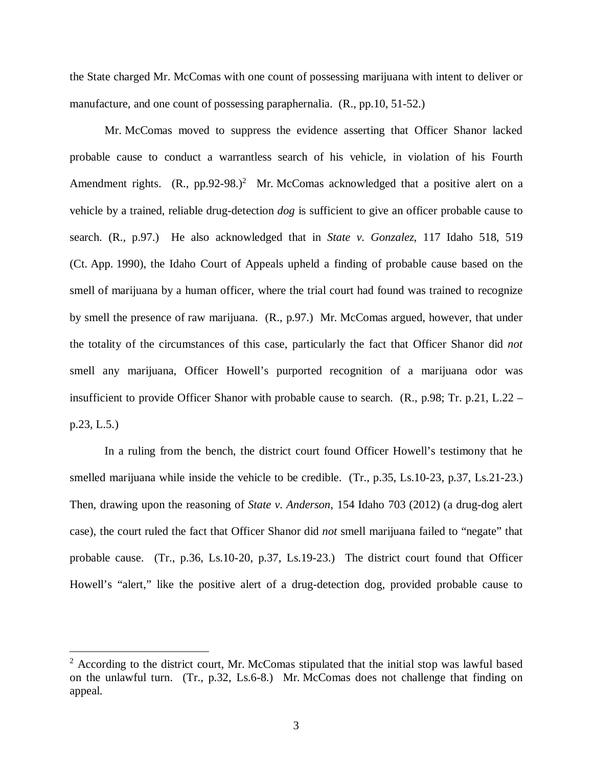the State charged Mr. McComas with one count of possessing marijuana with intent to deliver or manufacture, and one count of possessing paraphernalia. (R., pp.10, 51-52.)

Mr. McComas moved to suppress the evidence asserting that Officer Shanor lacked probable cause to conduct a warrantless search of his vehicle, in violation of his Fourth Amendment rights.  $(R_{1}, pp.92-98.)^{2}$  $(R_{1}, pp.92-98.)^{2}$  $(R_{1}, pp.92-98.)^{2}$  Mr. McComas acknowledged that a positive alert on a vehicle by a trained, reliable drug-detection *dog* is sufficient to give an officer probable cause to search. (R., p.97.) He also acknowledged that in *State v. Gonzalez*, 117 Idaho 518, 519 (Ct. App. 1990), the Idaho Court of Appeals upheld a finding of probable cause based on the smell of marijuana by a human officer, where the trial court had found was trained to recognize by smell the presence of raw marijuana. (R., p.97.) Mr. McComas argued, however, that under the totality of the circumstances of this case, particularly the fact that Officer Shanor did *not* smell any marijuana, Officer Howell's purported recognition of a marijuana odor was insufficient to provide Officer Shanor with probable cause to search. (R., p.98; Tr. p.21, L.22 – p.23, L.5.)

In a ruling from the bench, the district court found Officer Howell's testimony that he smelled marijuana while inside the vehicle to be credible. (Tr., p.35, Ls.10-23, p.37, Ls.21-23.) Then, drawing upon the reasoning of *State v. Anderson*, 154 Idaho 703 (2012) (a drug-dog alert case), the court ruled the fact that Officer Shanor did *not* smell marijuana failed to "negate" that probable cause. (Tr., p.36, Ls.10-20, p.37, Ls.19-23.) The district court found that Officer Howell's "alert," like the positive alert of a drug-detection dog, provided probable cause to

<span id="page-6-0"></span><sup>&</sup>lt;sup>2</sup> According to the district court, Mr. McComas stipulated that the initial stop was lawful based on the unlawful turn. (Tr., p.32, Ls.6-8.) Mr. McComas does not challenge that finding on appeal.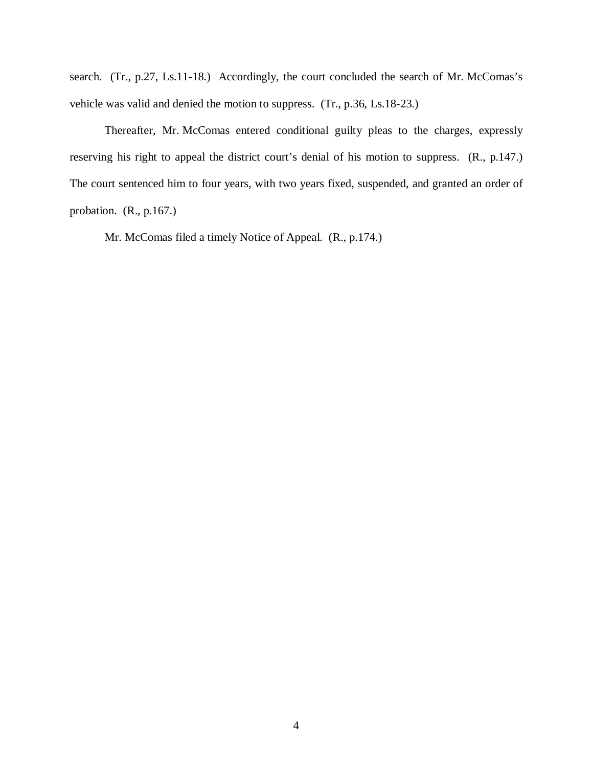search. (Tr., p.27, Ls.11-18.) Accordingly, the court concluded the search of Mr. McComas's vehicle was valid and denied the motion to suppress. (Tr., p.36, Ls.18-23.)

Thereafter, Mr. McComas entered conditional guilty pleas to the charges, expressly reserving his right to appeal the district court's denial of his motion to suppress. (R., p.147.) The court sentenced him to four years, with two years fixed, suspended, and granted an order of probation. (R., p.167.)

Mr. McComas filed a timely Notice of Appeal. (R., p.174.)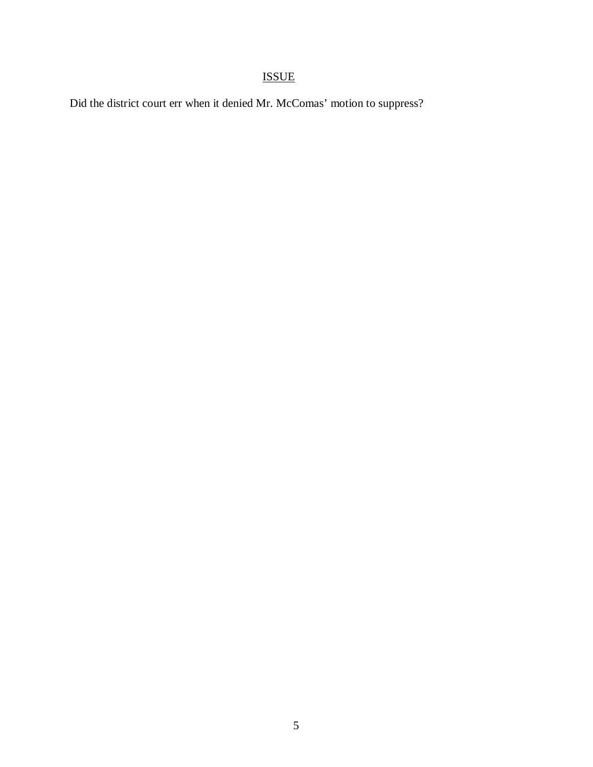# ISSUE

Did the district court err when it denied Mr. McComas' motion to suppress?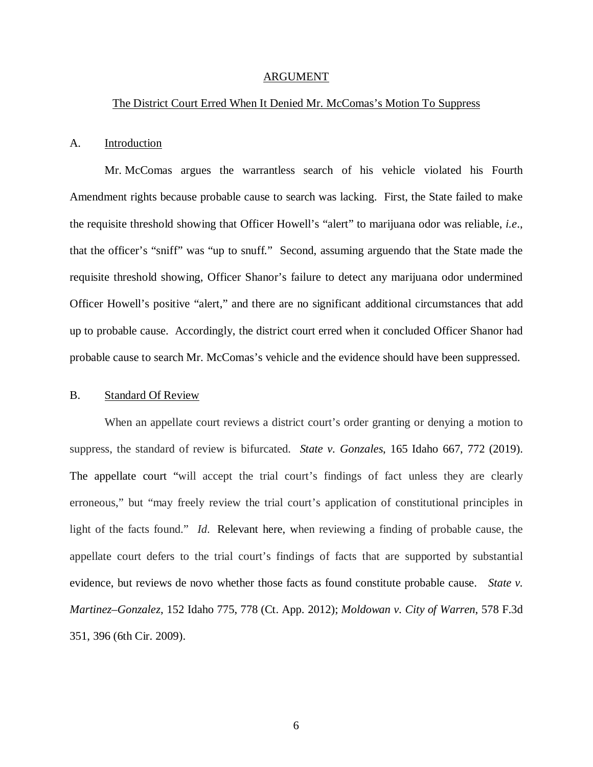#### ARGUMENT

#### The District Court Erred When It Denied Mr. McComas's Motion To Suppress

#### A. Introduction

Mr. McComas argues the warrantless search of his vehicle violated his Fourth Amendment rights because probable cause to search was lacking. First, the State failed to make the requisite threshold showing that Officer Howell's "alert" to marijuana odor was reliable, *i.e*., that the officer's "sniff" was "up to snuff." Second, assuming arguendo that the State made the requisite threshold showing, Officer Shanor's failure to detect any marijuana odor undermined Officer Howell's positive "alert," and there are no significant additional circumstances that add up to probable cause. Accordingly, the district court erred when it concluded Officer Shanor had probable cause to search Mr. McComas's vehicle and the evidence should have been suppressed.

#### B. Standard Of Review

When an appellate court reviews a district court's order granting or denying a motion to suppress, the standard of review is bifurcated. *State v. Gonzales*, 165 Idaho 667, 772 (2019). The appellate court "will accept the trial court's findings of fact unless they are clearly erroneous," but "may freely review the trial court's application of constitutional principles in light of the facts found." *Id*. Relevant here, when reviewing a finding of probable cause, the appellate court defers to the trial court's findings of facts that are supported by substantial evidence, but reviews de novo whether those facts as found constitute probable cause. *[State v.](https://1.next.westlaw.com/Link/Document/FullText?findType=Y&serNum=2026799045&pubNum=0004645&originatingDoc=Ieed35af0055411e7b28da5a53aeba485&refType=RP&fi=co_pp_sp_4645_4&originationContext=document&transitionType=DocumentItem&contextData=(sc.Search)#co_pp_sp_4645_4) Martinez–Gonzalez*[, 152 Idaho 775, 778 \(Ct. App. 2012\);](https://1.next.westlaw.com/Link/Document/FullText?findType=Y&serNum=2026799045&pubNum=0004645&originatingDoc=Ieed35af0055411e7b28da5a53aeba485&refType=RP&fi=co_pp_sp_4645_4&originationContext=document&transitionType=DocumentItem&contextData=(sc.Search)#co_pp_sp_4645_4) *[Moldowan v. City of Warren](https://1.next.westlaw.com/Link/Document/FullText?findType=Y&serNum=2019620687&pubNum=0000506&originatingDoc=Ieed35af0055411e7b28da5a53aeba485&refType=RP&fi=co_pp_sp_506_396&originationContext=document&transitionType=DocumentItem&contextData=(sc.Search)#co_pp_sp_506_396)*, 578 F.3d [351, 396 \(6th Cir. 2009\).](https://1.next.westlaw.com/Link/Document/FullText?findType=Y&serNum=2019620687&pubNum=0000506&originatingDoc=Ieed35af0055411e7b28da5a53aeba485&refType=RP&fi=co_pp_sp_506_396&originationContext=document&transitionType=DocumentItem&contextData=(sc.Search)#co_pp_sp_506_396)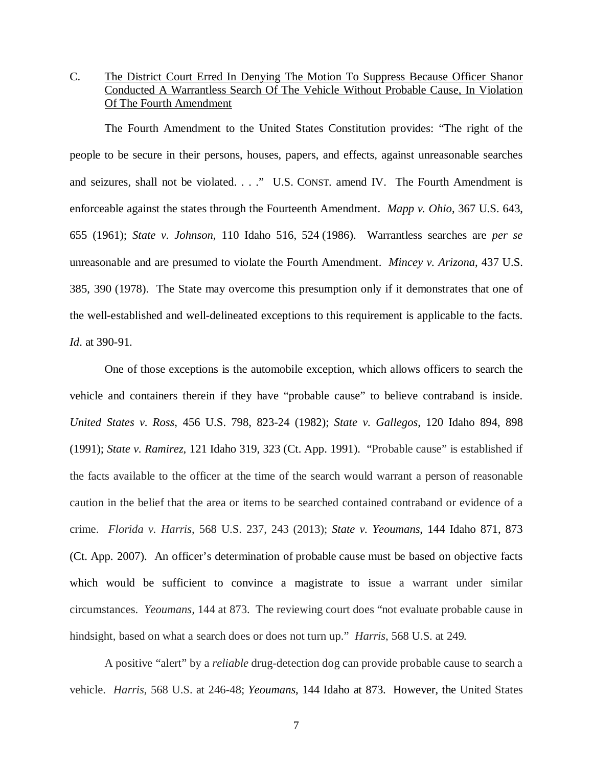C. The District Court Erred In Denying The Motion To Suppress Because Officer Shanor Conducted A Warrantless Search Of The Vehicle Without Probable Cause, In Violation Of The Fourth Amendment

The Fourth Amendment to the United States Constitution provides: "The right of the people to be secure in their persons, houses, papers, and effects, against unreasonable searches and seizures, shall not be violated. . . ." U.S. CONST. amend IV. The Fourth Amendment is enforceable against the states through the Fourteenth Amendment. *Mapp v. Ohio*, 367 U.S. 643, 655 (1961); *State v. Johnson*, 110 Idaho 516, 524 (1986). Warrantless searches are *per se* unreasonable and are presumed to violate the Fourth Amendment. *Mincey v. Arizona*, 437 U.S. 385, 390 (1978). The State may overcome this presumption only if it demonstrates that one of the well-established and well-delineated exceptions to this requirement is applicable to the facts. *Id*. at 390-91.

One of those exceptions is the automobile exception, which allows officers to search the vehicle and containers therein if they have "probable cause" to believe contraband is inside. *United States v. Ross*, 456 U.S. 798, 823-24 (1982); *State v. Gallegos*, 120 Idaho 894, 898 (1991); *State v. Ramirez*[, 121 Idaho 319, 323 \(Ct. App. 1991\)](https://1.next.westlaw.com/Link/Document/FullText?findType=Y&serNum=1991196937&pubNum=0000661&originatingDoc=I8a6c02b0cc0411e88037ff68a1223ab1&refType=RP&fi=co_pp_sp_661_898&originationContext=document&transitionType=DocumentItem&contextData=(sc.Search)#co_pp_sp_661_898). "Probable cause" is established if the facts available to the officer at the time of the search would warrant a person of reasonable caution in the belief that the area or items to be searched contained contraband or evidence of a crime. *Florida v. Harris*, 568 U.S. 237, 243 (2013); *State v. Yeoumans*[, 144 Idaho 871, 873](https://1.next.westlaw.com/Link/Document/FullText?findType=Y&serNum=2013912152&pubNum=0004645&originatingDoc=I8a6c02b0cc0411e88037ff68a1223ab1&refType=RP&fi=co_pp_sp_4645_1148&originationContext=document&transitionType=DocumentItem&contextData=(sc.Search)#co_pp_sp_4645_1148) [\(Ct. App. 2007\)](https://1.next.westlaw.com/Link/Document/FullText?findType=Y&serNum=2013912152&pubNum=0004645&originatingDoc=I8a6c02b0cc0411e88037ff68a1223ab1&refType=RP&fi=co_pp_sp_4645_1148&originationContext=document&transitionType=DocumentItem&contextData=(sc.Search)#co_pp_sp_4645_1148). An officer's determination of probable cause must be based on objective facts which would be sufficient to convince a magistrate to issue a warrant under similar circumstances. *Yeoumans,* 144 at 873. The reviewing court does "not evaluate probable cause in hindsight, based on what a search does or does not turn up." *Harris*, 568 U.S. at 249*.*

A positive "alert" by a *reliable* drug-detection dog can provide probable cause to search a vehicle. *Harris*, 568 U.S. at 246-48; *Yeoumans*[, 144 Idaho at 873.](https://1.next.westlaw.com/Link/Document/FullText?findType=Y&serNum=2013912152&pubNum=0004645&originatingDoc=I8a6c02b0cc0411e88037ff68a1223ab1&refType=RP&fi=co_pp_sp_4645_1148&originationContext=document&transitionType=DocumentItem&contextData=(sc.Search)#co_pp_sp_4645_1148) However, the United States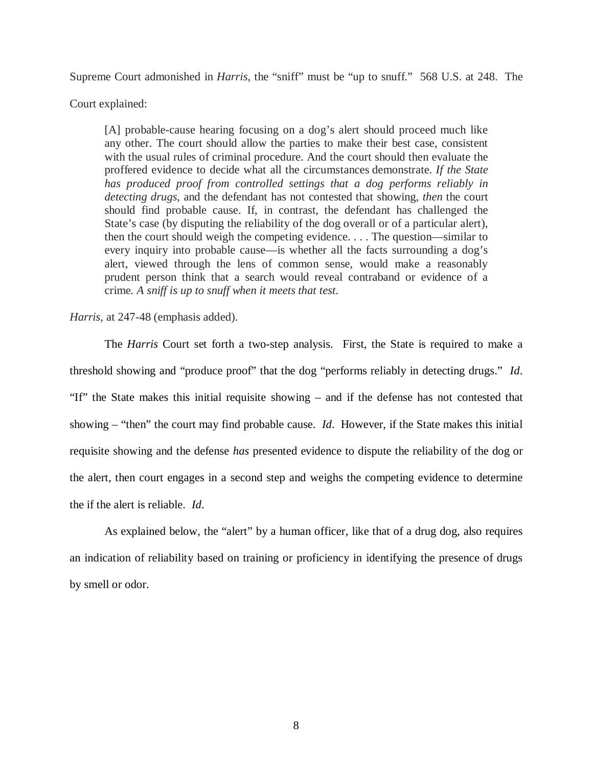Supreme Court admonished in *Harris*, the "sniff" must be "up to snuff." 568 U.S. at 248. The

Court explained:

[A] probable-cause hearing focusing on a dog's alert should proceed much like any other. The court should allow the parties to make their best case, consistent with the usual rules of criminal procedure. And the court should then evaluate the proffered evidence to decide what all the circumstances demonstrate. *If the State has produced proof from controlled settings that a dog performs reliably in detecting drugs*, and the defendant has not contested that showing, *then* the court should find probable cause. If, in contrast, the defendant has challenged the State's case (by disputing the reliability of the dog overall or of a particular alert), then the court should weigh the competing evidence. . . . The question—similar to every inquiry into probable cause—is whether all the facts surrounding a dog's alert, viewed through the lens of common sense, would make a reasonably prudent person think that a search would reveal contraband or evidence of a crime*. A sniff is up to snuff when it meets that test*.

*Harris*, at 247-48 (emphasis added).

The *Harris* Court set forth a two-step analysis. First, the State is required to make a threshold showing and "produce proof" that the dog "performs reliably in detecting drugs." *Id*. "If" the State makes this initial requisite showing – and if the defense has not contested that showing – "then" the court may find probable cause. *Id*. However, if the State makes this initial requisite showing and the defense *has* presented evidence to dispute the reliability of the dog or the alert, then court engages in a second step and weighs the competing evidence to determine the if the alert is reliable. *Id*.

As explained below, the "alert" by a human officer, like that of a drug dog, also requires an indication of reliability based on training or proficiency in identifying the presence of drugs by smell or odor.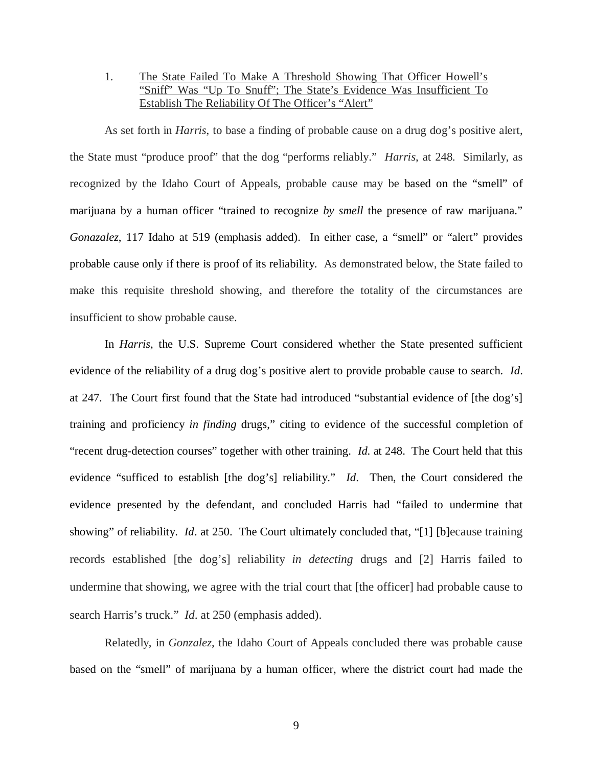### 1. The State Failed To Make A Threshold Showing That Officer Howell's "Sniff" Was "Up To Snuff"; The State's Evidence Was Insufficient To Establish The Reliability Of The Officer's "Alert"

As set forth in *Harris*, to base a finding of probable cause on a drug dog's positive alert, the State must "produce proof" that the dog "performs reliably." *Harris*, at 248. Similarly, as recognized by the Idaho Court of Appeals, probable cause may be based on the "smell" of marijuana by a human officer "trained to recognize *by smell* the presence of raw marijuana." *Gonazalez*, 117 Idaho at 519 (emphasis added). In either case, a "smell" or "alert" provides probable cause only if there is proof of its reliability. As demonstrated below, the State failed to make this requisite threshold showing, and therefore the totality of the circumstances are insufficient to show probable cause.

In *Harris*, the U.S. Supreme Court considered whether the State presented sufficient evidence of the reliability of a drug dog's positive alert to provide probable cause to search. *Id*. at 247. The Court first found that the State had introduced "substantial evidence of [the dog's] training and proficiency *in finding* drugs," citing to evidence of the successful completion of "recent drug-detection courses" together with other training. *Id*. at 248. The Court held that this evidence "sufficed to establish [the dog's] reliability." *Id*. Then, the Court considered the evidence presented by the defendant, and concluded Harris had "failed to undermine that showing" of reliability. *Id.* at 250. The Court ultimately concluded that, "[1] [b] ecause training records established [the dog's] reliability *in detecting* drugs and [2] Harris failed to undermine that showing, we agree with the trial court that [the officer] had probable cause to search Harris's truck." *Id*. at 250 (emphasis added).

Relatedly, in *Gonzalez*, the Idaho Court of Appeals concluded there was probable cause based on the "smell" of marijuana by a human officer, where the district court had made the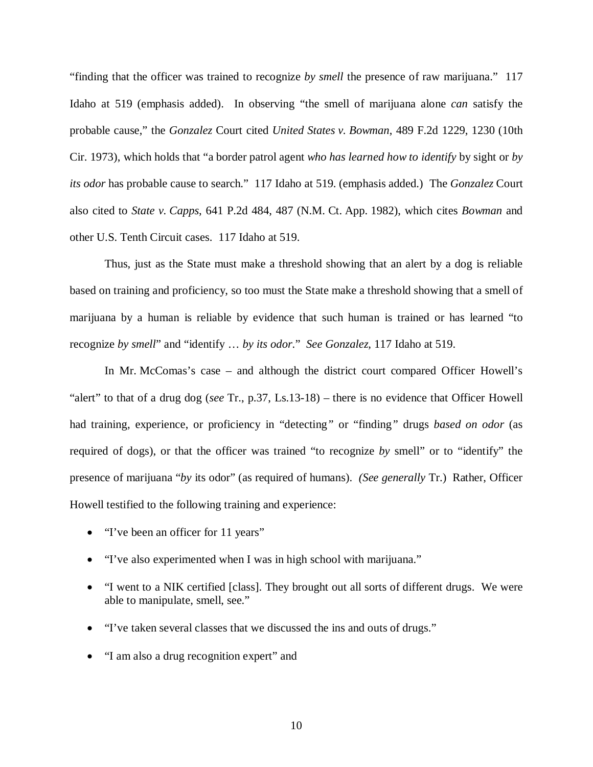"finding that the officer was trained to recognize *by smell* the presence of raw marijuana." 117 Idaho at 519 (emphasis added). In observing "the smell of marijuana alone *can* satisfy the probable cause," the *Gonzalez* Court cited *United States v. Bowman*, 489 F.2d 1229, 1230 (10th Cir. 1973), which holds that "a border patrol agent *who has learned how to identify* by sight or *by its odor* has probable cause to search." 117 Idaho at 519. (emphasis added.) The *Gonzalez* Court also cited to *State v. Capps*, 641 P.2d 484, 487 (N.M. Ct. App. 1982), which cites *Bowman* and other U.S. Tenth Circuit cases. 117 Idaho at 519.

Thus, just as the State must make a threshold showing that an alert by a dog is reliable based on training and proficiency, so too must the State make a threshold showing that a smell of marijuana by a human is reliable by evidence that such human is trained or has learned "to recognize *by smell*" and "identify … *by its odor.*" *See Gonzalez,* 117 Idaho at 519.

In Mr. McComas's case – and although the district court compared Officer Howell's "alert" to that of a drug dog (*see* Tr., p.37, Ls.13-18) – there is no evidence that Officer Howell had training, experience, or proficiency in "detecting*"* or "finding*"* drugs *based on odor* (as required of dogs), or that the officer was trained "to recognize *by* smell" or to "identify" the presence of marijuana "*by* its odor" (as required of humans). *(See generally* Tr.) Rather, Officer Howell testified to the following training and experience:

- · "I've been an officer for 11 years"
- "I've also experimented when I was in high school with marijuana."
- · "I went to a NIK certified [class]. They brought out all sorts of different drugs. We were able to manipulate, smell, see."
- · "I've taken several classes that we discussed the ins and outs of drugs."
- · "I am also a drug recognition expert" and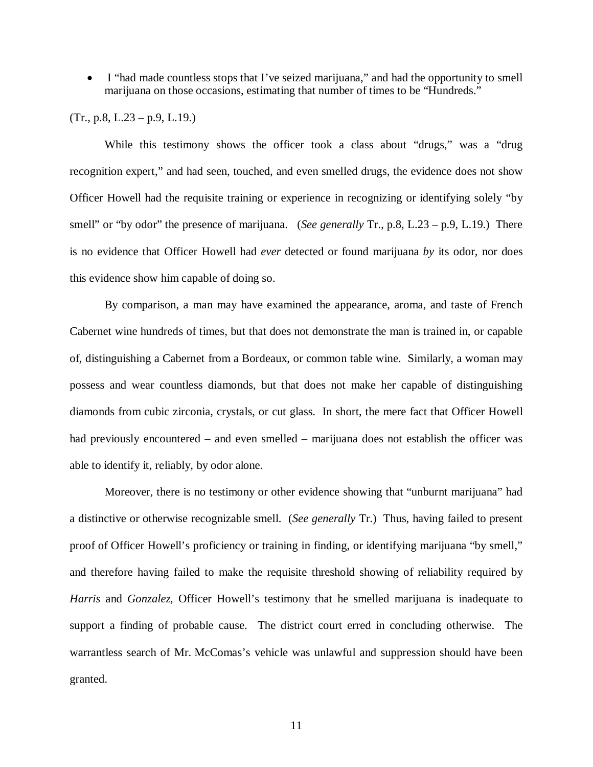· I "had made countless stops that I've seized marijuana," and had the opportunity to smell marijuana on those occasions, estimating that number of times to be "Hundreds."

 $(Tr., p.8, L.23 - p.9, L.19.)$ 

While this testimony shows the officer took a class about "drugs," was a "drug recognition expert," and had seen, touched, and even smelled drugs, the evidence does not show Officer Howell had the requisite training or experience in recognizing or identifying solely "by smell" or "by odor" the presence of marijuana. (*See generally* Tr., p.8, L.23 – p.9, L.19.) There is no evidence that Officer Howell had *ever* detected or found marijuana *by* its odor, nor does this evidence show him capable of doing so.

By comparison, a man may have examined the appearance, aroma, and taste of French Cabernet wine hundreds of times, but that does not demonstrate the man is trained in, or capable of, distinguishing a Cabernet from a Bordeaux, or common table wine. Similarly, a woman may possess and wear countless diamonds, but that does not make her capable of distinguishing diamonds from cubic zirconia, crystals, or cut glass. In short, the mere fact that Officer Howell had previously encountered – and even smelled – marijuana does not establish the officer was able to identify it, reliably, by odor alone.

Moreover, there is no testimony or other evidence showing that "unburnt marijuana" had a distinctive or otherwise recognizable smell. (*See generally* Tr.) Thus, having failed to present proof of Officer Howell's proficiency or training in finding, or identifying marijuana "by smell," and therefore having failed to make the requisite threshold showing of reliability required by *Harris* and *Gonzalez*, Officer Howell's testimony that he smelled marijuana is inadequate to support a finding of probable cause. The district court erred in concluding otherwise. The warrantless search of Mr. McComas's vehicle was unlawful and suppression should have been granted.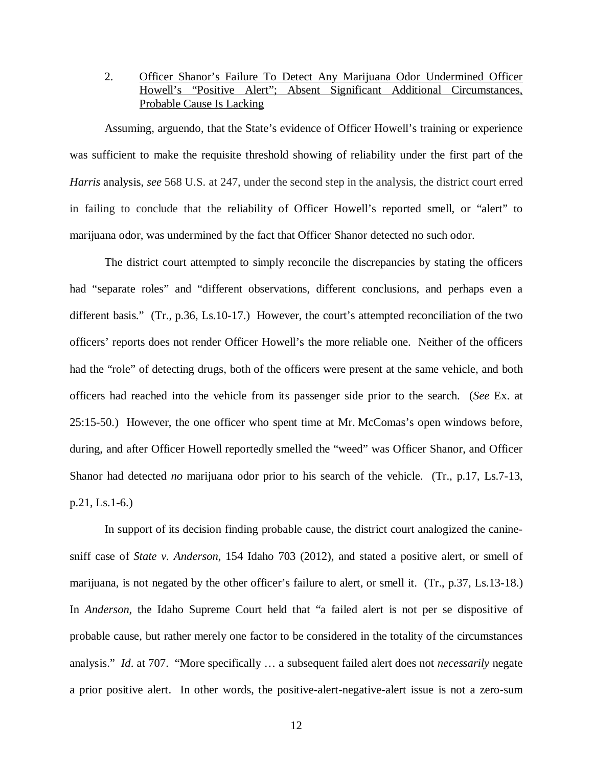2. Officer Shanor's Failure To Detect Any Marijuana Odor Undermined Officer Howell's "Positive Alert"; Absent Significant Additional Circumstances, Probable Cause Is Lacking

Assuming, arguendo, that the State's evidence of Officer Howell's training or experience was sufficient to make the requisite threshold showing of reliability under the first part of the *Harris* analysis, *see* 568 U.S. at 247, under the second step in the analysis, the district court erred in failing to conclude that the reliability of Officer Howell's reported smell, or "alert" to marijuana odor, was undermined by the fact that Officer Shanor detected no such odor.

The district court attempted to simply reconcile the discrepancies by stating the officers had "separate roles" and "different observations, different conclusions, and perhaps even a different basis." (Tr., p.36, Ls.10-17.) However, the court's attempted reconciliation of the two officers' reports does not render Officer Howell's the more reliable one. Neither of the officers had the "role" of detecting drugs, both of the officers were present at the same vehicle, and both officers had reached into the vehicle from its passenger side prior to the search. (*See* Ex. at 25:15-50.) However, the one officer who spent time at Mr. McComas's open windows before, during, and after Officer Howell reportedly smelled the "weed" was Officer Shanor, and Officer Shanor had detected *no* marijuana odor prior to his search of the vehicle. (Tr., p.17, Ls.7-13, p.21, Ls.1-6.)

In support of its decision finding probable cause, the district court analogized the caninesniff case of *State v. Anderson*, 154 Idaho 703 (2012), and stated a positive alert, or smell of marijuana, is not negated by the other officer's failure to alert, or smell it. (Tr., p.37, Ls.13-18.) In *Anderson*, the Idaho Supreme Court held that "a failed alert is not per se dispositive of probable cause, but rather merely one factor to be considered in the totality of the circumstances analysis." *Id*. at 707. "More specifically … a subsequent failed alert does not *necessarily* negate a prior positive alert. In other words, the positive-alert-negative-alert issue is not a zero-sum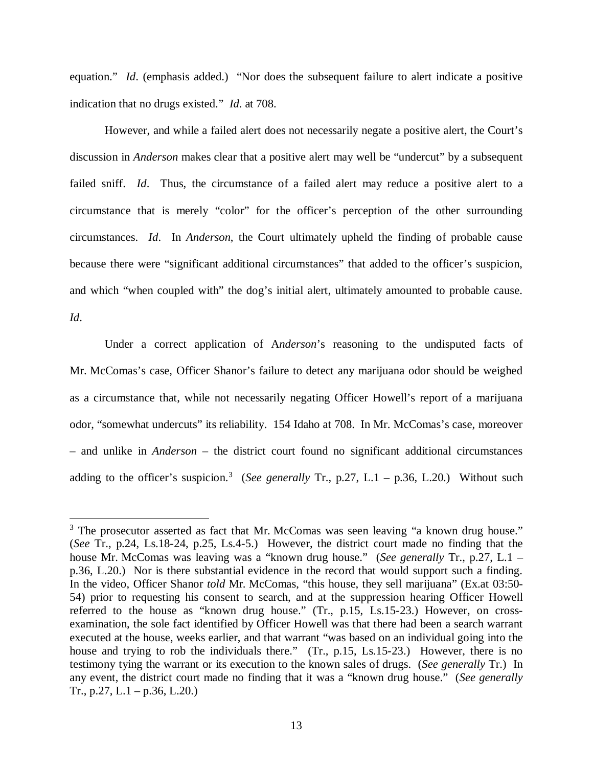equation." *Id.* (emphasis added.) "Nor does the subsequent failure to alert indicate a positive indication that no drugs existed." *Id*. at 708.

However, and while a failed alert does not necessarily negate a positive alert, the Court's discussion in *Anderson* makes clear that a positive alert may well be "undercut" by a subsequent failed sniff. *Id*. Thus, the circumstance of a failed alert may reduce a positive alert to a circumstance that is merely "color" for the officer's perception of the other surrounding circumstances. *Id*. In *Anderson*, the Court ultimately upheld the finding of probable cause because there were "significant additional circumstances" that added to the officer's suspicion, and which "when coupled with" the dog's initial alert, ultimately amounted to probable cause. *Id*.

Under a correct application of A*nderson*'s reasoning to the undisputed facts of Mr. McComas's case, Officer Shanor's failure to detect any marijuana odor should be weighed as a circumstance that, while not necessarily negating Officer Howell's report of a marijuana odor, "somewhat undercuts" its reliability. 154 Idaho at 708. In Mr. McComas's case, moreover – and unlike in *Anderson* – the district court found no significant additional circumstances adding to the officer's suspicion.<sup>[3](#page-16-0)</sup> (*See generally* Tr., p.27, L.1 – p.36, L.20.) Without such

<span id="page-16-0"></span><sup>&</sup>lt;sup>3</sup> The prosecutor asserted as fact that Mr. McComas was seen leaving "a known drug house." (*See* Tr., p.24, Ls.18-24, p.25, Ls.4-5.) However, the district court made no finding that the house Mr. McComas was leaving was a "known drug house." (*See generally* Tr., p.27, L.1 – p.36, L.20.) Nor is there substantial evidence in the record that would support such a finding. In the video, Officer Shanor *told* Mr. McComas, "this house, they sell marijuana" (Ex.at 03:50- 54) prior to requesting his consent to search, and at the suppression hearing Officer Howell referred to the house as "known drug house." (Tr., p.15, Ls.15-23.) However, on crossexamination, the sole fact identified by Officer Howell was that there had been a search warrant executed at the house, weeks earlier, and that warrant "was based on an individual going into the house and trying to rob the individuals there." (Tr., p.15, Ls.15-23.) However, there is no testimony tying the warrant or its execution to the known sales of drugs. (*See generally* Tr.) In any event, the district court made no finding that it was a "known drug house." (*See generally* Tr., p.27, L.1 – p.36, L.20.)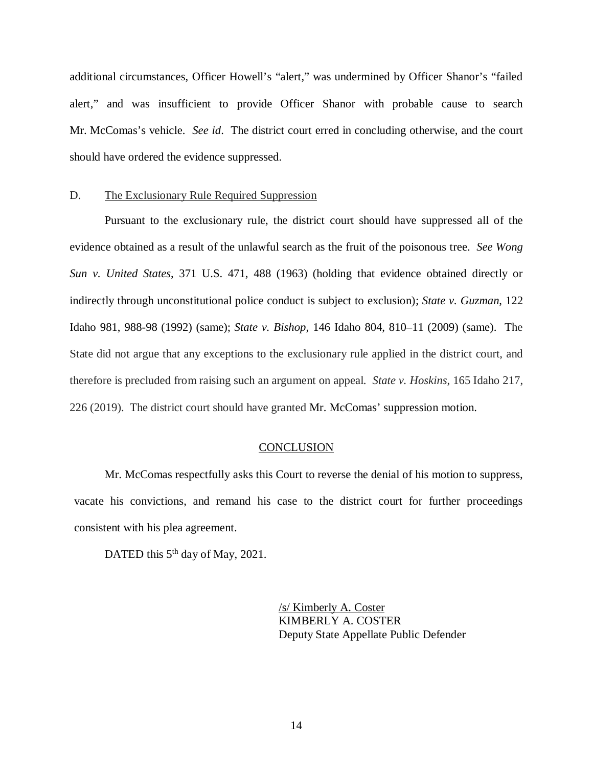additional circumstances, Officer Howell's "alert," was undermined by Officer Shanor's "failed alert," and was insufficient to provide Officer Shanor with probable cause to search Mr. McComas's vehicle. *See id*. The district court erred in concluding otherwise, and the court should have ordered the evidence suppressed.

#### D. The Exclusionary Rule Required Suppression

Pursuant to the exclusionary rule, the district court should have suppressed all of the evidence obtained as a result of the unlawful search as the fruit of the poisonous tree. *See Wong Sun v. United States*, 371 U.S. 471, 488 (1963) (holding that evidence obtained directly or indirectly through unconstitutional police conduct is subject to exclusion); *State v. Guzman*, 122 Idaho 981, 988-98 (1992) (same); *State v. Bishop*, 146 Idaho 804, 810–11 (2009) (same). The State did not argue that any exceptions to the exclusionary rule applied in the district court, and therefore is precluded from raising such an argument on appeal. *State v. Hoskins*, 165 Idaho 217, 226 (2019). The district court should have granted Mr. McComas' suppression motion.

#### **CONCLUSION**

Mr. McComas respectfully asks this Court to reverse the denial of his motion to suppress, vacate his convictions, and remand his case to the district court for further proceedings consistent with his plea agreement.

DATED this 5<sup>th</sup> day of May, 2021.

/s/ Kimberly A. Coster KIMBERLY A. COSTER Deputy State Appellate Public Defender